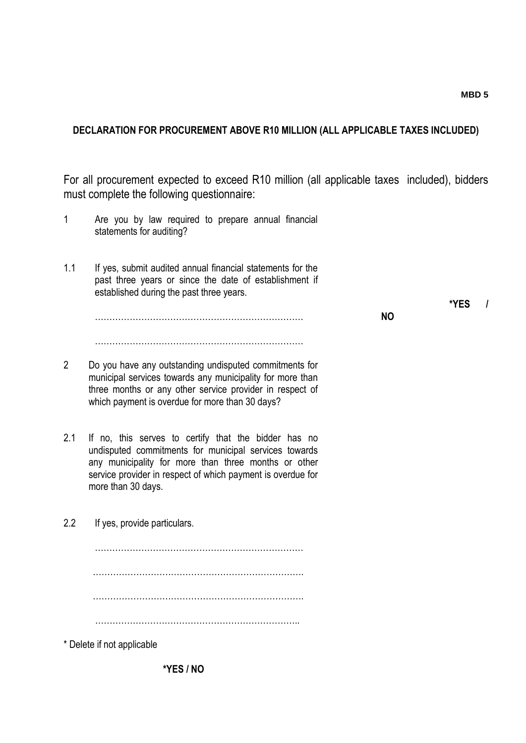## **DECLARATION FOR PROCUREMENT ABOVE R10 MILLION (ALL APPLICABLE TAXES INCLUDED)**

For all procurement expected to exceed R10 million (all applicable taxes included), bidders must complete the following questionnaire:

- 1 Are you by law required to prepare annual financial statements for auditing?
- 1.1 If yes, submit audited annual financial statements for the past three years or since the date of establishment if established during the past three years.

**NO**

………………………………………………………………

………………………………………………………………

- 2 Do you have any outstanding undisputed commitments for municipal services towards any municipality for more than three months or any other service provider in respect of which payment is overdue for more than 30 days?
- 2.1 If no, this serves to certify that the bidder has no undisputed commitments for municipal services towards any municipality for more than three months or other service provider in respect of which payment is overdue for more than 30 days.
- 2.2 If yes, provide particulars. ……………………………………………………………… ………………………………………………………………. ………………………………………………………………. …………………………………………………………….. \* Delete if not applicable

**\*YES /** 

**\*YES / NO**